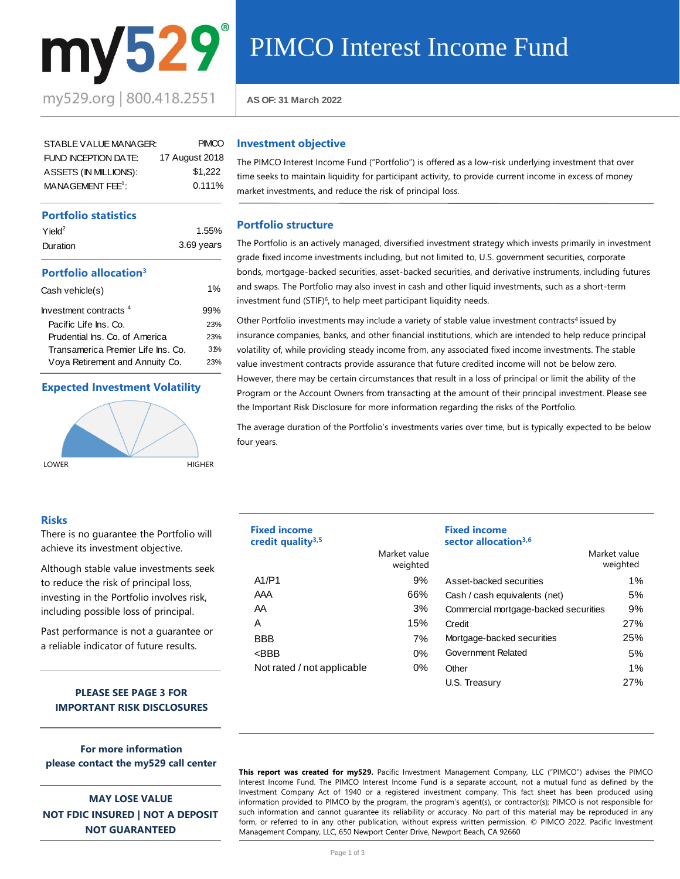

| STABLE VALUE MANAGER:         | <b>PIMCO</b>   |
|-------------------------------|----------------|
| FUND INCEPTION DATE:          | 17 August 2018 |
| ASSETS (IN MILLIONS):         | \$1.222        |
| MANAGEMENT FEE <sup>1</sup> : | $0.111\%$      |

# **Portfolio statistics**

| $Y$ ield <sup>2</sup> | 1.55%      |
|-----------------------|------------|
| Duration              | 3.69 years |

# **Portfolio allocation<sup>3</sup>**

| Cash vehicle(s)                    | $1\%$ |
|------------------------------------|-------|
| Investment contracts <sup>4</sup>  | 99%   |
| Pacific Life Ins. Co.              | 23%   |
| Prudential Ins. Co. of America     | 23%   |
| Transamerica Premier Life Ins. Co. | 31%   |
| Voya Retirement and Annuity Co.    | 23%   |
|                                    |       |

# **Expected Investment Volatility**



# **Investment objective**

AS OF: 31 March 2022<br> **AS OF: 31 March 2022**<br> **PINCO**<br> **Investment objective**<br> **In PINCO** Interest Income<br> **Insp. 222**<br> **Insp. 2111%**<br> **Instruction Structure**<br> **Portfolio structure** The PIMCO Interest Income Fund ("Portfolio") is offered as a low-risk underlying investment that over time seeks to maintain liquidity for participant activity, to provide current income in excess of money market investments, and reduce the risk of principal loss.

### **Portfolio structure**

The Portfolio is an actively managed, diversified investment strategy which invests primarily in investment grade fixed income investments including, but not limited to, U.S. government securities, corporate bonds, mortgage-backed securities, asset-backed securities, and derivative instruments, including futures and swaps. The Portfolio may also invest in cash and other liquid investments, such as a short-term investment fund (STIF)<sup>6</sup> , to help meet participant liquidity needs.

Other Portfolio investments may include a variety of stable value investment contracts<sup>4</sup> issued by insurance companies, banks, and other financial institutions, which are intended to help reduce principal volatility of, while providing steady income from, any associated fixed income investments. The stable value investment contracts provide assurance that future credited income will not be below zero. However, there may be certain circumstances that result in a loss of principal or limit the ability of the Program or the Account Owners from transacting at the amount of their principal investment. Please see the Important Risk Disclosure for more information regarding the risks of the Portfolio.

The average duration of the Portfolio's investments varies over time, but is typically expected to be below four years.

| <b>Fixed income</b><br>credit quality <sup>3,5</sup> |                          | <b>Fixed income</b><br>sector allocation <sup>3,6</sup> |                          |
|------------------------------------------------------|--------------------------|---------------------------------------------------------|--------------------------|
|                                                      | Market value<br>weighted |                                                         | Market value<br>weighted |
| A1/P1                                                | 9%                       | Asset-backed securities                                 | $1\%$                    |
| AAA                                                  | 66%                      | Cash / cash equivalents (net)                           | 5%                       |
| AA                                                   | 3%                       | Commercial mortgage-backed securities                   | 9%                       |
| Α                                                    | 15%                      | Credit                                                  | 27%                      |
| <b>BBB</b>                                           | 7%                       | Mortgage-backed securities                              | 25%                      |
| $<$ BBB                                              | 0%                       | Government Related                                      | 5%                       |
| Not rated / not applicable                           | $0\%$                    | Other                                                   | $1\%$                    |
|                                                      |                          | U.S. Treasurv                                           | 27%                      |

**This report was created for my529.** Pacific Investment Management Company, LLC ("PIMCO") advises the PIMCO Interest Income Fund. The PIMCO Interest Income Fund is a separate account, not a mutual fund as defined by the Investment Company Act of 1940 or a registered investment company. This fact sheet has been produced using information provided to PIMCO by the program, the program's agent(s), or contractor(s); PIMCO is not responsible for such information and cannot guarantee its reliability or accuracy. No part of this material may be reproduced in any form, or referred to in any other publication, without express written permission. © PIMCO 2022. Pacific Investment Management Company, LLC, 650 Newport Center Drive, Newport Beach, CA 92660

# **Risks**

There is no guarantee the Portfolio will achieve its investment objective.

Although stable value investments seek to reduce the risk of principal loss, investing in the Portfolio involves risk, including possible loss of principal.

Past performance is not a guarantee or a reliable indicator of future results.

# **PLEASE SEE PAGE 3 FOR IMPORTANT RISK DISCLOSURES**

**For more information please contact the my529 call center**

**MAY LOSE VALUE NOT FDIC INSURED | NOT A DEPOSIT NOT GUARANTEED**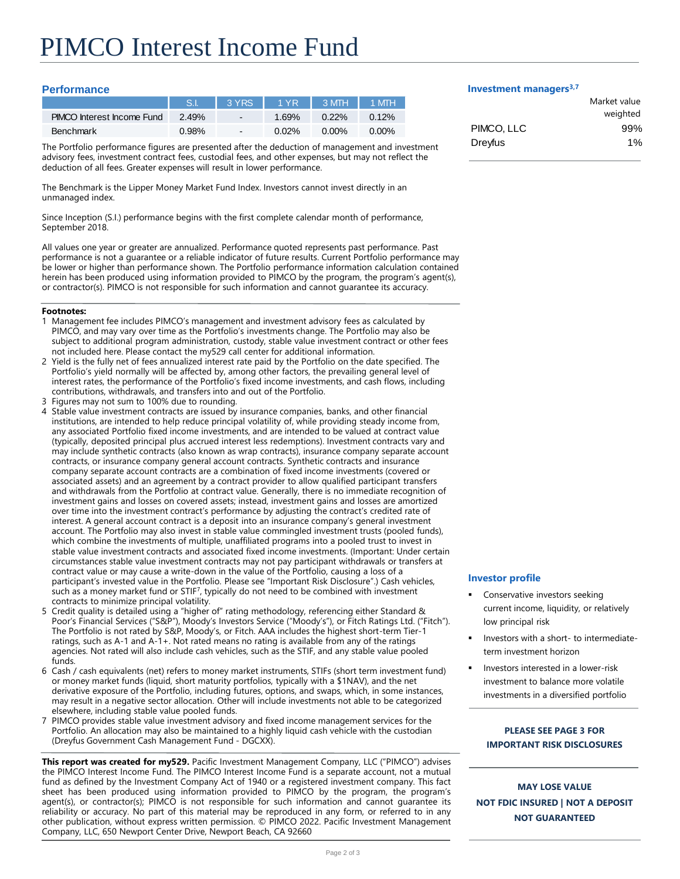# **Performance**

|                                   | <b>S.I.</b> | $\sqrt{3}$ YRS | $\sqrt{1 \text{YR}}$ | $3$ MTH  | $1$ MTH  |
|-----------------------------------|-------------|----------------|----------------------|----------|----------|
| <b>PIMCO</b> Interest Income Fund | 2.49%       | $\blacksquare$ | 1.69%                | $0.22\%$ | $0.12\%$ |
| <b>Benchmark</b>                  | 0.98%       | $\blacksquare$ | $0.02\%$             | $0.00\%$ | $0.00\%$ |

The Portfolio performance figures are presented after the deduction of management and investment advisory fees, investment contract fees, custodial fees, and other expenses, but may not reflect the deduction of all fees. Greater expenses will result in lower performance.

The Benchmark is the Lipper Money Market Fund Index. Investors cannot invest directly in an unmanaged index.

Since Inception (S.I.) performance begins with the first complete calendar month of performance, September 2018.

All values one year or greater are annualized. Performance quoted represents past performance. Past performance is not a guarantee or a reliable indicator of future results. Current Portfolio performance may be lower or higher than performance shown. The Portfolio performance information calculation contained herein has been produced using information provided to PIMCO by the program, the program's agent(s), or contractor(s). PIMCO is not responsible for such information and cannot guarantee its accuracy.

#### **Footnotes:**

- 1 Management fee includes PIMCO's management and investment advisory fees as calculated by PIMCO, and may vary over time as the Portfolio's investments change. The Portfolio may also be subject to additional program administration, custody, stable value investment contract or other fees not included here. Please contact the my529 call center for additional information.
- 2 Yield is the fully net of fees annualized interest rate paid by the Portfolio on the date specified. The Portfolio's yield normally will be affected by, among other factors, the prevailing general level of interest rates, the performance of the Portfolio's fixed income investments, and cash flows, including contributions, withdrawals, and transfers into and out of the Portfolio.
- 3 Figures may not sum to 100% due to rounding.
- 4 Stable value investment contracts are issued by insurance companies, banks, and other financial institutions, are intended to help reduce principal volatility of, while providing steady income from, any associated Portfolio fixed income investments, and are intended to be valued at contract value (typically, deposited principal plus accrued interest less redemptions). Investment contracts vary and may include synthetic contracts (also known as wrap contracts), insurance company separate account contracts, or insurance company general account contracts. Synthetic contracts and insurance company separate account contracts are a combination of fixed income investments (covered or associated assets) and an agreement by a contract provider to allow qualified participant transfers and withdrawals from the Portfolio at contract value. Generally, there is no immediate recognition of investment gains and losses on covered assets; instead, investment gains and losses are amortized over time into the investment contract's performance by adjusting the contract's credited rate of interest. A general account contract is a deposit into an insurance company's general investment account. The Portfolio may also invest in stable value commingled investment trusts (pooled funds), which combine the investments of multiple, unaffiliated programs into a pooled trust to invest in stable value investment contracts and associated fixed income investments. (Important: Under certain circumstances stable value investment contracts may not pay participant withdrawals or transfers at contract value or may cause a write-down in the value of the Portfolio, causing a loss of a participant's invested value in the Portfolio. Please see "Important Risk Disclosure".) Cash vehicles, such as a money market fund or STIF<sup>7</sup> , typically do not need to be combined with investment contracts to minimize principal volatility.
- 5 Credit quality is detailed using a "higher of" rating methodology, referencing either Standard & Poor's Financial Services ("S&P"), Moody's Investors Service ("Moody's"), or Fitch Ratings Ltd. ("Fitch"). The Portfolio is not rated by S&P, Moody's, or Fitch. AAA includes the highest short-term Tier-1 ratings, such as A-1 and A-1+. Not rated means no rating is available from any of the ratings agencies. Not rated will also include cash vehicles, such as the STIF, and any stable value pooled funds.
- 6 Cash / cash equivalents (net) refers to money market instruments, STIFs (short term investment fund) or money market funds (liquid, short maturity portfolios, typically with a \$1NAV), and the net derivative exposure of the Portfolio, including futures, options, and swaps, which, in some instances, may result in a negative sector allocation. Other will include investments not able to be categorized elsewhere, including stable value pooled funds.
- 7 PIMCO provides stable value investment advisory and fixed income management services for the Portfolio. An allocation may also be maintained to a highly liquid cash vehicle with the custodian (Dreyfus Government Cash Management Fund - DGCXX).

**This report was created for my529.** Pacific Investment Management Company, LLC ("PIMCO") advises the PIMCO Interest Income Fund. The PIMCO Interest Income Fund is a separate account, not a mutual fund as defined by the Investment Company Act of 1940 or a registered investment company. This fact sheet has been produced using information provided to PIMCO by the program, the program's agent(s), or contractor(s); PIMCO is not responsible for such information and cannot guarantee its reliability or accuracy. No part of this material may be reproduced in any form, or referred to in any other publication, without express written permission. © PIMCO 2022. Pacific Investment Management Company, LLC, 650 Newport Center Drive, Newport Beach, CA 92660

#### **Investment managers3,7**

|            | Market value |
|------------|--------------|
|            | weighted     |
| PIMCO, LLC | 99%          |
| Dreyfus    | 1%           |
|            |              |

## **Investor profile**

- Conservative investors seeking current income, liquidity, or relatively low principal risk
- Investors with a short- to intermediateterm investment horizon
- Investors interested in a lower-risk investment to balance more volatile investments in a diversified portfolio

# **PLEASE SEE PAGE 3 FOR IMPORTANT RISK DISCLOSURES**

**MAY LOSE VALUE NOT FDIC INSURED | NOT A DEPOSIT NOT GUARANTEED**